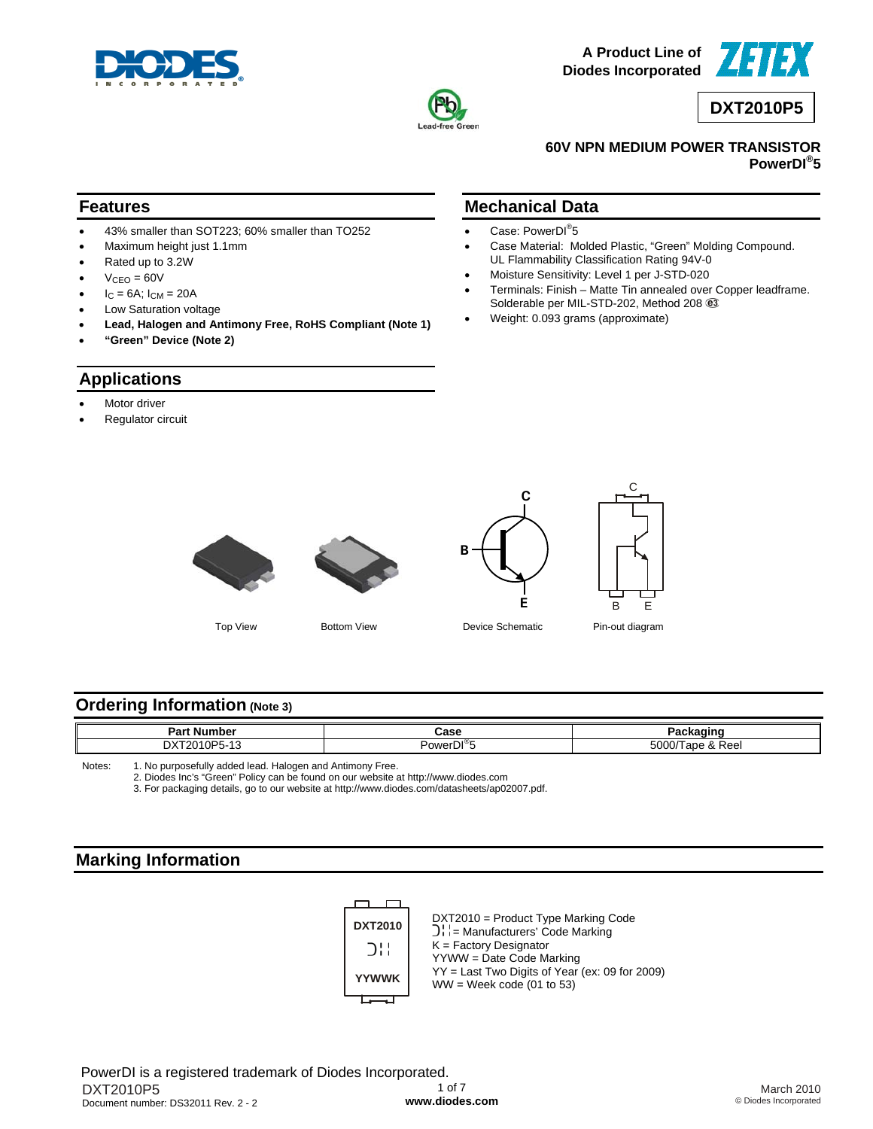



**A Product Line of Diodes Incorporated**



**DXT2010P5**

### **60V NPN MEDIUM POWER TRANSISTOR PowerDI® 5**

## **Features**

- 43% smaller than SOT223; 60% smaller than TO252
- Maximum height just 1.1mm
- Rated up to 3.2W
- $V<sub>CEO</sub> = 60V$
- $I_C = 6A$ ;  $I_{CM} = 20A$
- Low Saturation voltage
- **Lead, Halogen and Antimony Free, RoHS Compliant (Note 1)**
- **"Green" Device (Note 2)**

## **Applications**

- Motor driver
- Regulator circuit

## **Mechanical Data**

- Case: PowerDI<sup>®</sup>5
- Case Material: Molded Plastic, "Green" Molding Compound. UL Flammability Classification Rating 94V-0
- Moisture Sensitivity: Level 1 per J-STD-020
- Terminals: Finish Matte Tin annealed over Copper leadframe. Solderable per MIL-STD-202, Method 208  $@$
- Weight: 0.093 grams (approximate)





**C**



Top View Bottom View Device Schematic Pin-out diagram

## **Ordering Information (Note 3)**

| Do rí<br>.<br>. Nur<br>nbel<br>-ar | Case                  | .                               |  |
|------------------------------------|-----------------------|---------------------------------|--|
| nv                                 | י®וחי<br><b>POWEL</b> | $F^{\wedge}$<br>Reei<br>יש<br>ີ |  |

**B**

Notes: 1. No purposefully added lead. Halogen and Antimony Free.

2. Diodes Inc's "Green" Policy can be found on our website at <http://www.diodes.com>

3. For packaging details, go to our website at [http://www.diodes.com/datasheets/ap02007.pdf.](http://www.diodes.com/datasheets/ap02007.pdf)

## **Marking Information**

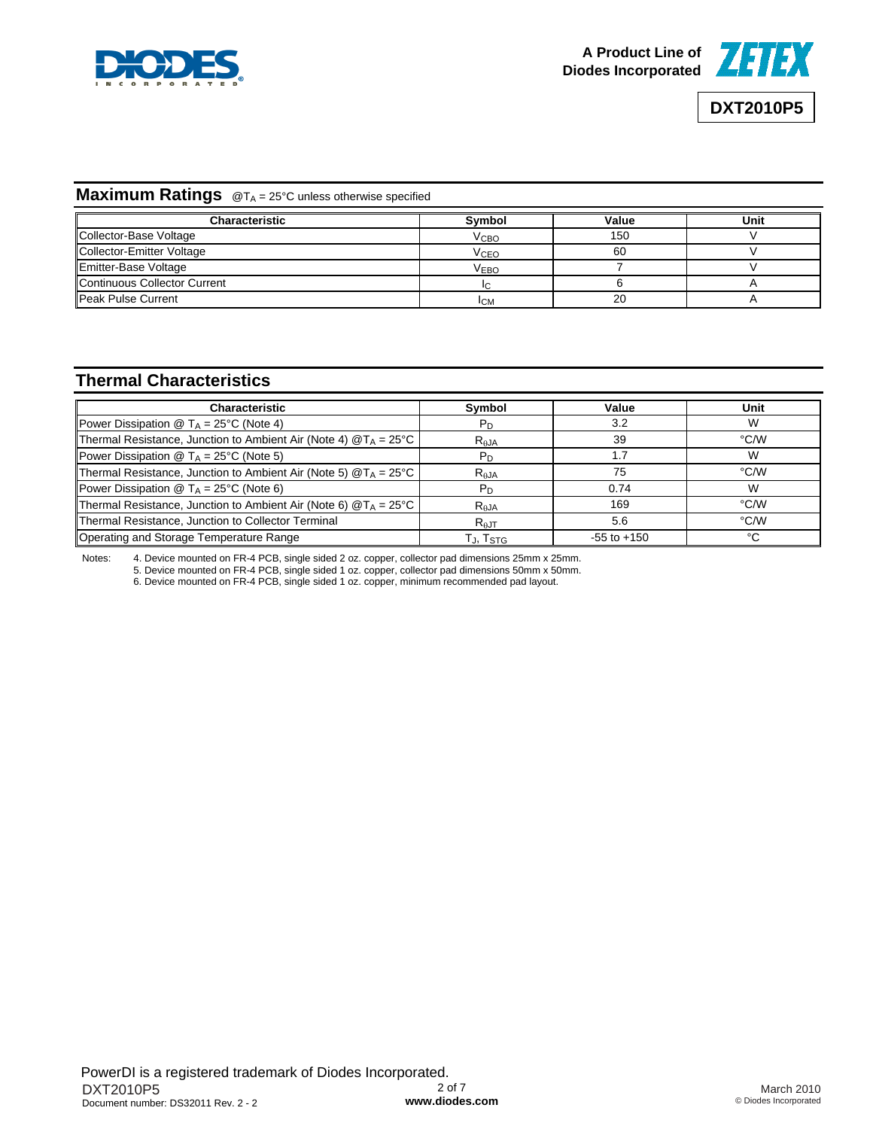



## **Maximum Ratings** @TA = 25°C unless otherwise specified

| Characteristic               | Symbol                 | Value | Unit |
|------------------------------|------------------------|-------|------|
| Collector-Base Voltage       | <b>V</b> сво           | 150   |      |
| Collector-Emitter Voltage    | <b>V<sub>CEO</sub></b> | 60    |      |
| Emitter-Base Voltage         | <b>VEBO</b>            |       |      |
| Continuous Collector Current |                        |       |      |
| <b>Peak Pulse Current</b>    | <b>ICM</b>             | 20    |      |

# **Thermal Characteristics**

| <b>Characteristic</b>                                                     | Symbol                      | Value           | Unit |
|---------------------------------------------------------------------------|-----------------------------|-----------------|------|
| Power Dissipation $\circledR$ T <sub>A</sub> = 25°C (Note 4)              | $P_D$                       | 3.2             | W    |
| Thermal Resistance, Junction to Ambient Air (Note 4) $@T_A = 25^{\circ}C$ | $R_{AJA}$                   | 39              | °C/W |
| Power Dissipation $\circledR$ T <sub>A</sub> = 25°C (Note 5)              | $P_D$                       | 1.7             | W    |
| Thermal Resistance, Junction to Ambient Air (Note 5) $@T_A = 25^{\circ}C$ | R <sub>AJA</sub>            | 75              | °C/W |
| Power Dissipation $\circledR$ T <sub>A</sub> = 25°C (Note 6)              | P <sub>D</sub>              | 0.74            | W    |
| Thermal Resistance, Junction to Ambient Air (Note 6) $@T_A = 25^{\circ}C$ | $R_{AJA}$                   | 169             | °C/W |
| Thermal Resistance, Junction to Collector Terminal                        | $R_{\text{AJT}}$            | 5.6             | °C/W |
| Operating and Storage Temperature Range                                   | $T_{\rm J}$ , $T_{\rm STG}$ | $-55$ to $+150$ | °C   |

Notes: 4. Device mounted on FR-4 PCB, single sided 2 oz. copper, collector pad dimensions 25mm x 25mm.

5. Device mounted on FR-4 PCB, single sided 1 oz. copper, collector pad dimensions 50mm x 50mm.

6. Device mounted on FR-4 PCB, single sided 1 oz. copper, minimum recommended pad layout.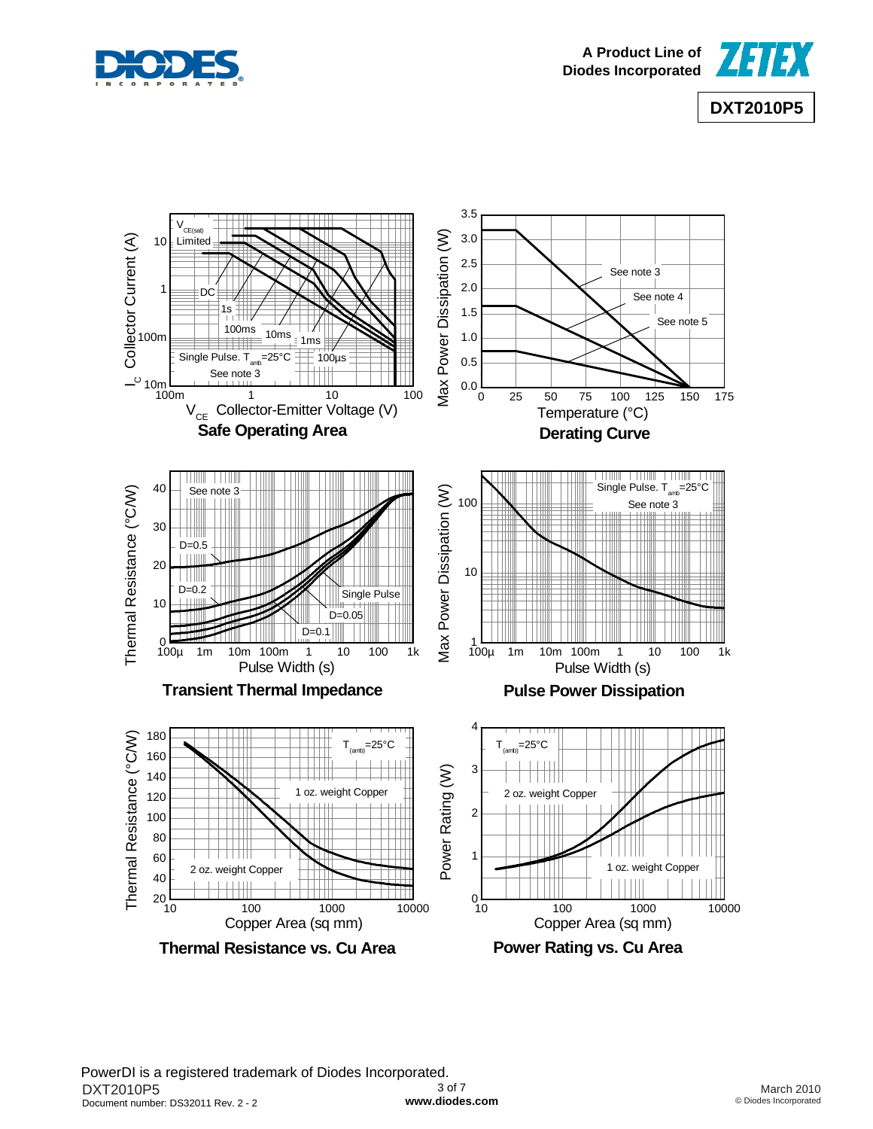





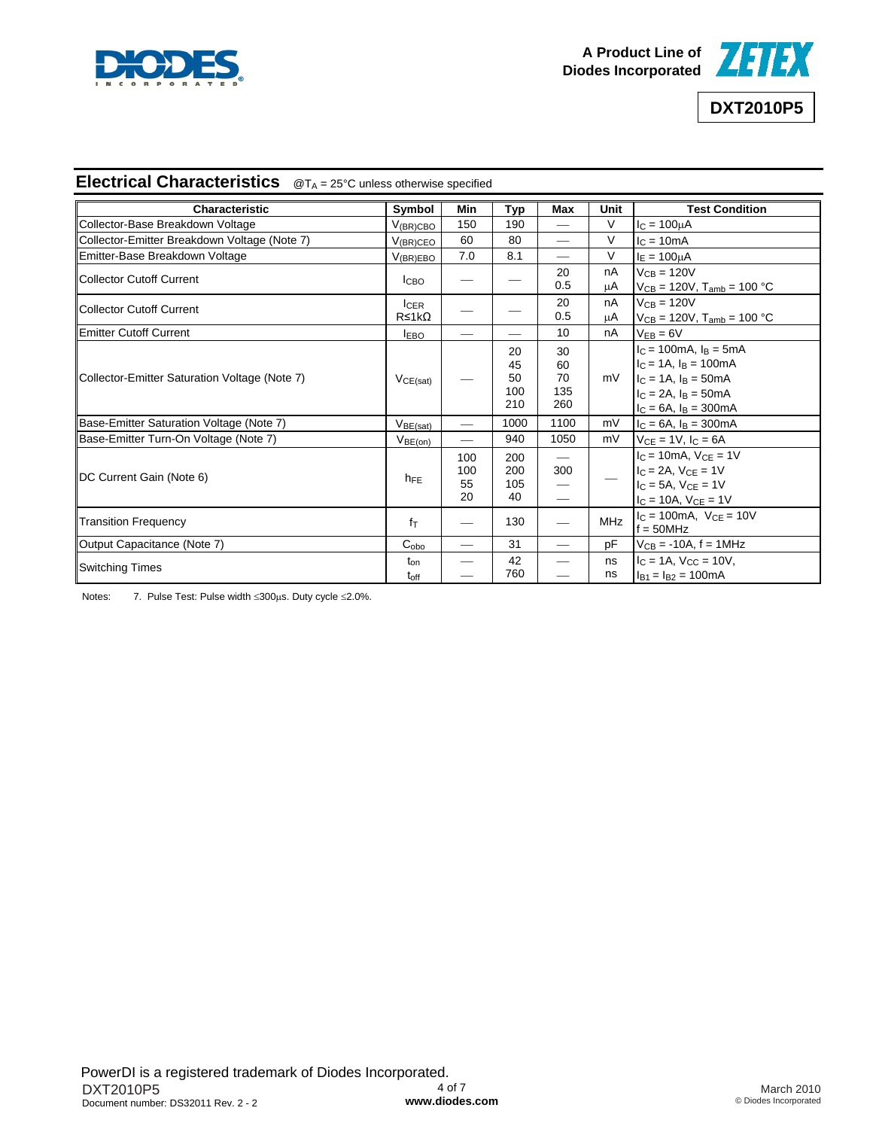



## **Electrical Characteristics** @T<sub>A</sub> = 25°C unless otherwise specified

| <b>Characteristic</b>                         | Symbol                           | Min                    | <b>Typ</b>                   | <b>Max</b>                                                           | Unit       | <b>Test Condition</b>                                                                                                                      |
|-----------------------------------------------|----------------------------------|------------------------|------------------------------|----------------------------------------------------------------------|------------|--------------------------------------------------------------------------------------------------------------------------------------------|
| Collector-Base Breakdown Voltage              | $V_{\rm (BR)CBC}$                | 150                    | 190                          |                                                                      | V          | $I_{C} = 100 \mu A$                                                                                                                        |
| Collector-Emitter Breakdown Voltage (Note 7)  | $V_{\rm (BR)CEO}$                | 60                     | 80                           |                                                                      | V          | $IC = 10mA$                                                                                                                                |
| Emitter-Base Breakdown Voltage                | $V_{(BR)EBO}$                    | 7.0                    | 8.1                          |                                                                      | V          | $I_E = 100 \mu A$                                                                                                                          |
| Collector Cutoff Current                      | <b>ICBO</b>                      |                        |                              | 20<br>0.5                                                            | nA<br>μA   | $V_{CB} = 120V$<br>$V_{CB}$ = 120V, T <sub>amb</sub> = 100 °C                                                                              |
| <b>Collector Cutoff Current</b>               | <b>ICER</b><br>$R \leq 1k\Omega$ |                        |                              | 20<br>0.5                                                            | nA<br>μA   | $V_{CB} = 120V$<br>$V_{CB} = 120V$ , $T_{amb} = 100 °C$                                                                                    |
| <b>Emitter Cutoff Current</b>                 | <b>IEBO</b>                      |                        | $\overline{\phantom{0}}$     | 10                                                                   | nA         | $V_{EB} = 6V$                                                                                                                              |
| Collector-Emitter Saturation Voltage (Note 7) | $V_{CE(sat)}$                    |                        | 20<br>45<br>50<br>100<br>210 | 30<br>60<br>70<br>135<br>260                                         | mV         | $IC = 100mA, IB = 5mA$<br>$IC = 1A$ , $IB = 100mA$<br>$I_C = 1A$ , $I_B = 50mA$<br>$I_C = 2A$ , $I_B = 50mA$<br>$I_C = 6A$ , $I_B = 300mA$ |
| Base-Emitter Saturation Voltage (Note 7)      | V <sub>BE(sat)</sub>             |                        | 1000                         | 1100                                                                 | mV         | $I_C = 6A$ , $I_B = 300mA$                                                                                                                 |
| Base-Emitter Turn-On Voltage (Note 7)         | $V_{BE(on)}$                     |                        | 940                          | 1050                                                                 | mV         | $V_{CE} = 1V$ , $I_C = 6A$                                                                                                                 |
| DC Current Gain (Note 6)                      | $h_{FE}$                         | 100<br>100<br>55<br>20 | 200<br>200<br>105<br>40      | $\overline{\phantom{m}}$<br>300<br>$\overbrace{\phantom{aaaaa}}^{a}$ |            | $I_C = 10mA$ , $V_{CE} = 1V$<br>$IC = 2A$ , $VCE = 1V$<br>$I_C = 5A$ , $V_{CE} = 1V$<br>$I_C = 10A$ , $V_{CE} = 1V$                        |
| <b>Transition Frequency</b>                   | fτ                               | —                      | 130                          |                                                                      | <b>MHz</b> | $IC = 100mA$ , $VCE = 10V$<br>$f = 50$ MHz                                                                                                 |
| Output Capacitance (Note 7)                   | $C_{o\underline{bo}}$            |                        | 31                           |                                                                      | рF         | $V_{CB} = -10A$ , f = 1MHz                                                                                                                 |
| <b>Switching Times</b>                        | $t_{on}$<br>$t_{\text{off}}$     |                        | 42<br>760                    |                                                                      | ns<br>ns   | $IC = 1A$ , $VCC = 10V$ ,<br>$I_{B1} = I_{B2} = 100mA$                                                                                     |

Notes: 7. Pulse Test: Pulse width ≤300μs. Duty cycle ≤2.0%.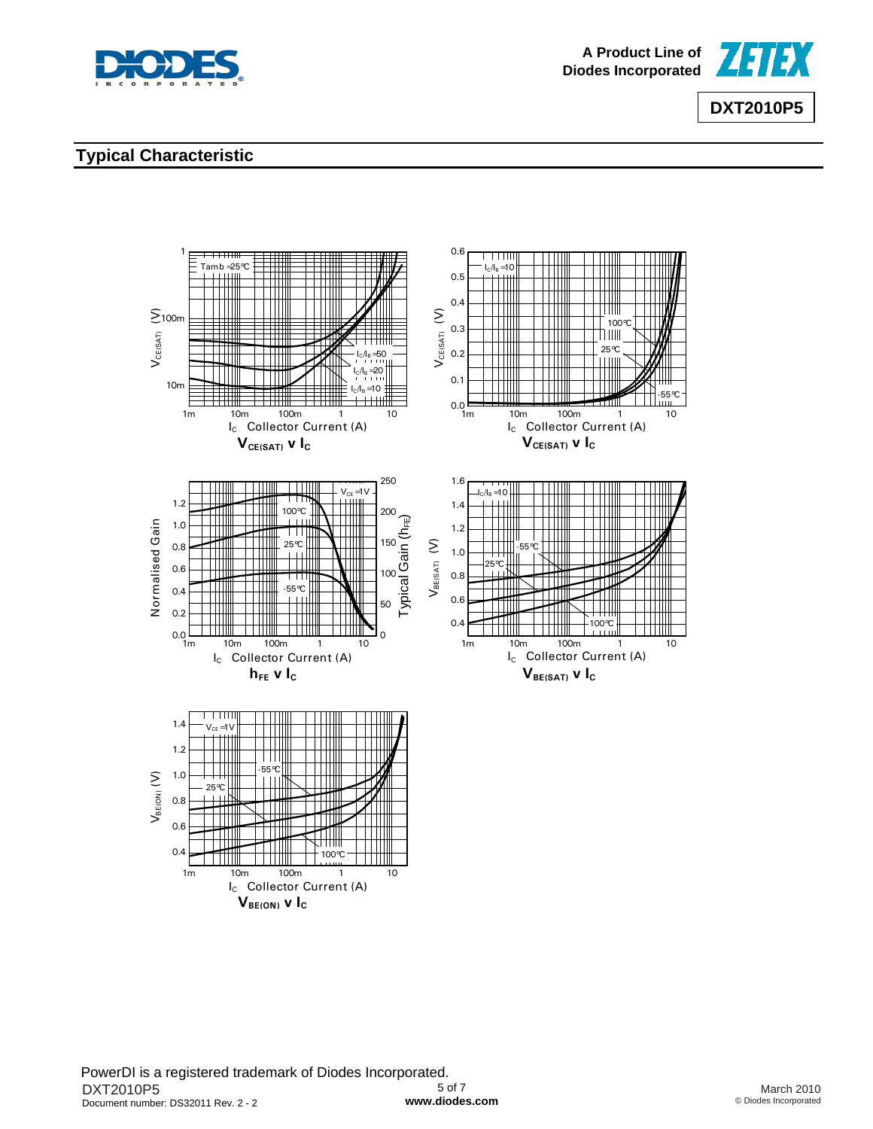



# **Typical Characteristic**

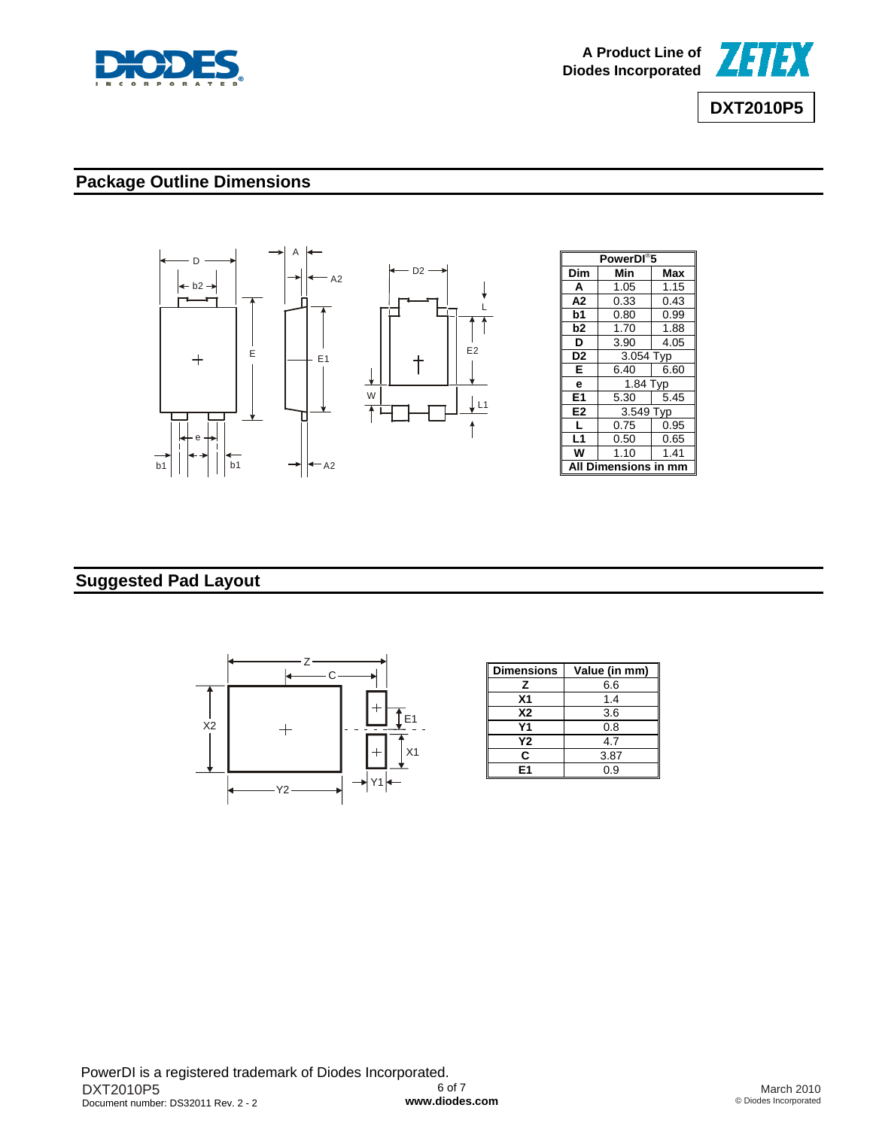



# **Package Outline Dimensions**



## **Suggested Pad Layout**



| <b>Dimensions</b> | Value (in mm) |
|-------------------|---------------|
| z                 | 6.6           |
| X <sub>1</sub>    | 1.4           |
| <b>X2</b>         | 3.6           |
| Υ1                | 0.8           |
| Υ2                | 4.7           |
| C                 | 3.87          |
| E1                | 0.9           |